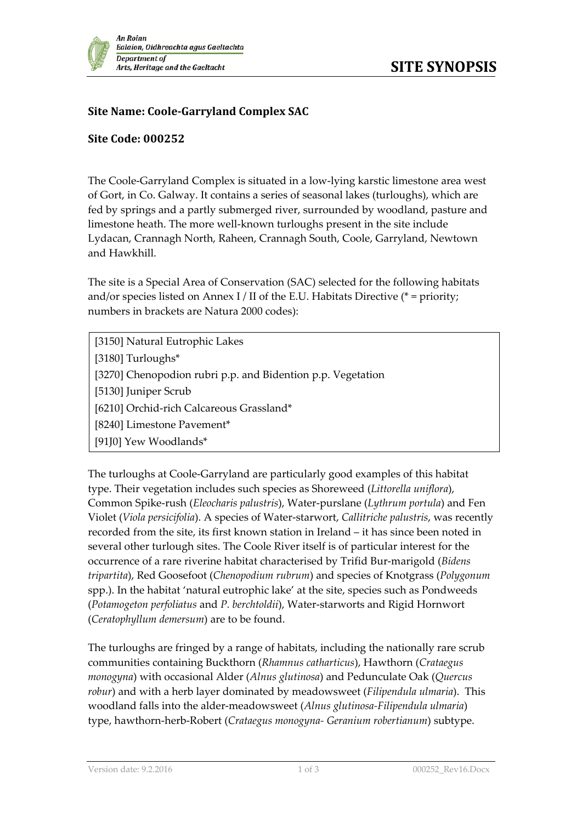

## **Site Name: Coole-Garryland Complex SAC**

## **Site Code: 000252**

The Coole-Garryland Complex is situated in a low-lying karstic limestone area west of Gort, in Co. Galway. It contains a series of seasonal lakes (turloughs), which are fed by springs and a partly submerged river, surrounded by woodland, pasture and limestone heath. The more well-known turloughs present in the site include Lydacan, Crannagh North, Raheen, Crannagh South, Coole, Garryland, Newtown and Hawkhill.

The site is a Special Area of Conservation (SAC) selected for the following habitats and/or species listed on Annex I / II of the E.U. Habitats Directive ( $*$  = priority; numbers in brackets are Natura 2000 codes):

- [3150] Natural Eutrophic Lakes
- [3180] Turloughs\*
- [3270] Chenopodion rubri p.p. and Bidention p.p. Vegetation
- [5130] Juniper Scrub
- [6210] Orchid-rich Calcareous Grassland\*
- [8240] Limestone Pavement\*
- [91J0] Yew Woodlands\*

The turloughs at Coole-Garryland are particularly good examples of this habitat type. Their vegetation includes such species as Shoreweed (*Littorella uniflora*), Common Spike-rush (*Eleocharis palustris*), Water-purslane (*Lythrum portula*) and Fen Violet (*Viola persicifolia*). A species of Water-starwort, *Callitriche palustris*, was recently recorded from the site, its first known station in Ireland – it has since been noted in several other turlough sites. The Coole River itself is of particular interest for the occurrence of a rare riverine habitat characterised by Trifid Bur-marigold (*Bidens tripartita*), Red Goosefoot (*Chenopodium rubrum*) and species of Knotgrass (*Polygonum* spp.). In the habitat 'natural eutrophic lake' at the site, species such as Pondweeds (*Potamogeton perfoliatus* and *P. berchtoldii*), Water-starworts and Rigid Hornwort (*Ceratophyllum demersum*) are to be found.

The turloughs are fringed by a range of habitats, including the nationally rare scrub communities containing Buckthorn (*Rhamnus catharticus*), Hawthorn (*Crataegus monogyna*) with occasional Alder (*Alnus glutinosa*) and Pedunculate Oak (*Quercus robur*) and with a herb layer dominated by meadowsweet (*Filipendula ulmaria*). This woodland falls into the alder-meadowsweet (*Alnus glutinosa-Filipendula ulmaria*) type, hawthorn-herb-Robert (*Crataegus monogyna- Geranium robertianum*) subtype.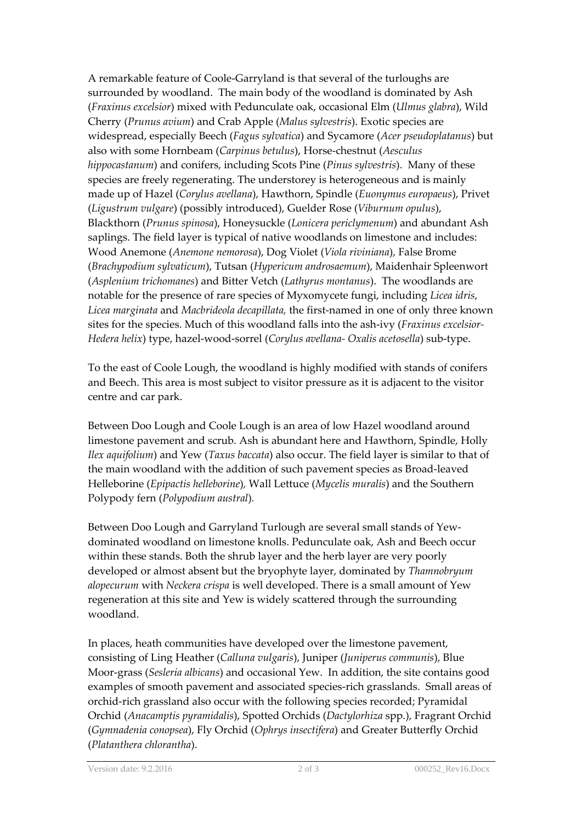A remarkable feature of Coole-Garryland is that several of the turloughs are surrounded by woodland. The main body of the woodland is dominated by Ash (*Fraxinus excelsior*) mixed with Pedunculate oak, occasional Elm (*Ulmus glabra*), Wild Cherry (*Prunus avium*) and Crab Apple (*Malus sylvestris*). Exotic species are widespread, especially Beech (*Fagus sylvatica*) and Sycamore (*Acer pseudoplatanus*) but also with some Hornbeam (*Carpinus betulus*), Horse-chestnut (*Aesculus hippocastanum*) and conifers, including Scots Pine (*Pinus sylvestris*). Many of these species are freely regenerating. The understorey is heterogeneous and is mainly made up of Hazel (*Corylus avellana*), Hawthorn, Spindle (*Euonymus europaeus*), Privet (*Ligustrum vulgare*) (possibly introduced), Guelder Rose (*Viburnum opulus*), Blackthorn (*Prunus spinosa*), Honeysuckle (*Lonicera periclymenum*) and abundant Ash saplings. The field layer is typical of native woodlands on limestone and includes: Wood Anemone (*Anemone nemorosa*), Dog Violet (*Viola riviniana*), False Brome (*Brachypodium sylvaticum*), Tutsan (*Hypericum androsaemum*), Maidenhair Spleenwort (*Asplenium trichomanes*) and Bitter Vetch (*Lathyrus montanus*). The woodlands are notable for the presence of rare species of Myxomycete fungi, including *Licea idris*, *Licea marginata* and *Macbrideola decapillata,* the first-named in one of only three known sites for the species. Much of this woodland falls into the ash-ivy (*Fraxinus excelsior-Hedera helix*) type, hazel-wood-sorrel (*Corylus avellana- Oxalis acetosella*) sub-type.

To the east of Coole Lough, the woodland is highly modified with stands of conifers and Beech. This area is most subject to visitor pressure as it is adjacent to the visitor centre and car park.

Between Doo Lough and Coole Lough is an area of low Hazel woodland around limestone pavement and scrub. Ash is abundant here and Hawthorn, Spindle, Holly *Ilex aquifolium*) and Yew (*Taxus baccata*) also occur. The field layer is similar to that of the main woodland with the addition of such pavement species as Broad-leaved Helleborine (*Epipactis helleborine*)*,* Wall Lettuce (*Mycelis muralis*) and the Southern Polypody fern (*Polypodium austral*)*.* 

Between Doo Lough and Garryland Turlough are several small stands of Yewdominated woodland on limestone knolls. Pedunculate oak, Ash and Beech occur within these stands. Both the shrub layer and the herb layer are very poorly developed or almost absent but the bryophyte layer, dominated by *Thamnobryum alopecurum* with *Neckera crispa* is well developed. There is a small amount of Yew regeneration at this site and Yew is widely scattered through the surrounding woodland.

In places, heath communities have developed over the limestone pavement, consisting of Ling Heather (*Calluna vulgaris*), Juniper (*Juniperus communis*), Blue Moor-grass (*Sesleria albicans*) and occasional Yew. In addition, the site contains good examples of smooth pavement and associated species-rich grasslands. Small areas of orchid-rich grassland also occur with the following species recorded; Pyramidal Orchid (*Anacamptis pyramidalis*), Spotted Orchids (*Dactylorhiza* spp.), Fragrant Orchid (*Gymnadenia conopsea*), Fly Orchid (*Ophrys insectifera*) and Greater Butterfly Orchid (*Platanthera chlorantha*).